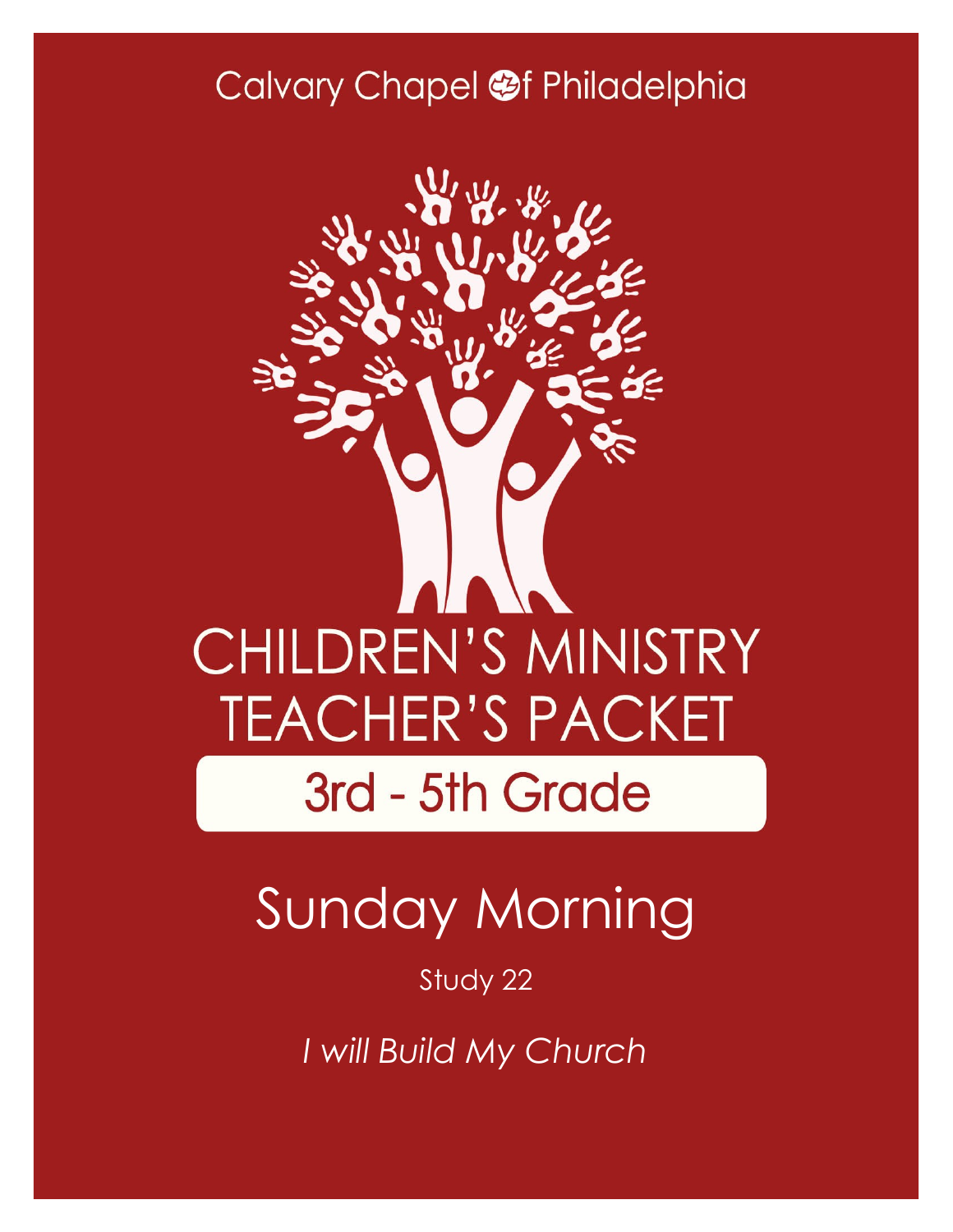### Calvary Chapel @f Philadelphia



# Sunday Morning

#### Study 22

*I will Build My Church*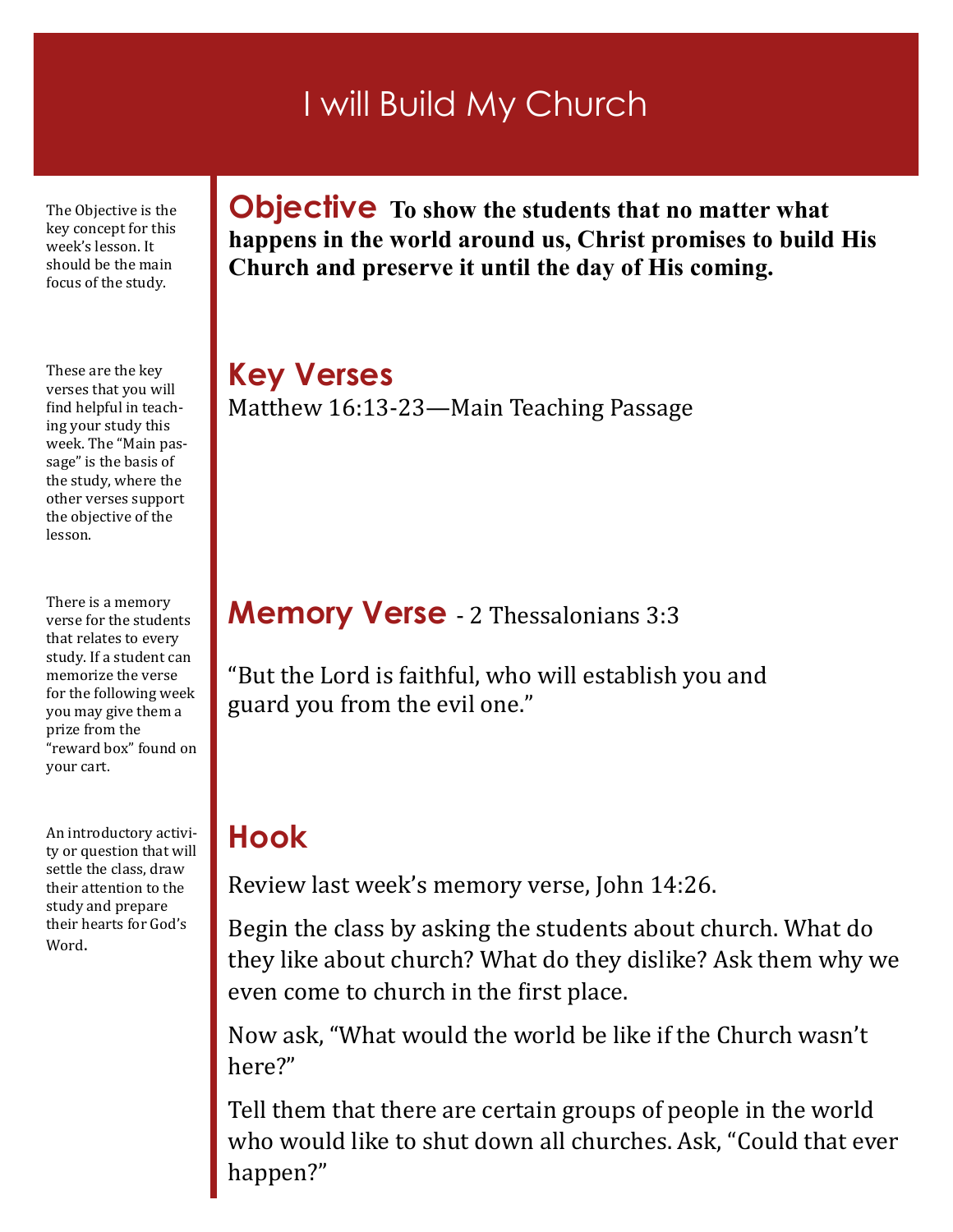### I will Build My Church

The Objective is the key concept for this week's lesson. It should be the main focus of the study.

These are the key verses that you will find helpful in teaching your study this week. The "Main passage" is the basis of the study, where the other verses support the objective of the lesson.

There is a memory verse for the students that relates to every study. If a student can memorize the verse for the following week you may give them a prize from the "reward box" found on your cart.

An introductory activity or question that will settle the class, draw their attention to the study and prepare their hearts for God's Word.

**Objective To show the students that no matter what happens in the world around us, Christ promises to build His Church and preserve it until the day of His coming.**

**Key Verses** Matthew 16:13-23—Main Teaching Passage

#### **Memory Verse** - 2 Thessalonians 3:3

"But the Lord is faithful, who will establish you and guard you from the evil one."

#### **Hook**

Review last week's memory verse, John 14:26.

Begin the class by asking the students about church. What do they like about church? What do they dislike? Ask them why we even come to church in the first place.

Now ask, "What would the world be like if the Church wasn't here?"

Tell them that there are certain groups of people in the world who would like to shut down all churches. Ask, "Could that ever happen?"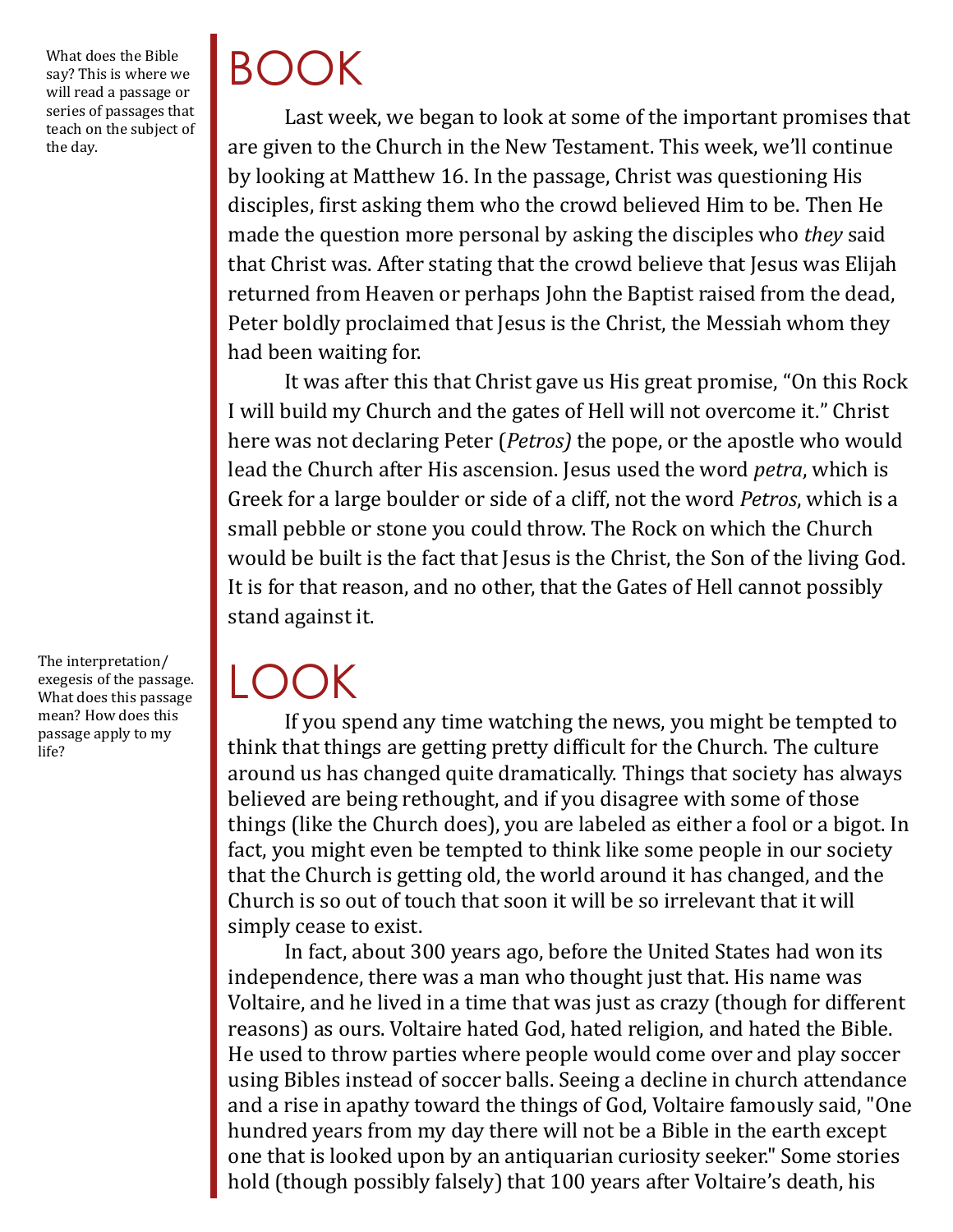What does the Bible say? This is where we will read a passage or series of passages that teach on the subject of the day.

The interpretation/ exegesis of the passage. What does this passage mean? How does this passage apply to my life?

# BOOK

Last week, we began to look at some of the important promises that are given to the Church in the New Testament. This week, we'll continue by looking at Matthew 16. In the passage, Christ was questioning His disciples, first asking them who the crowd believed Him to be. Then He made the question more personal by asking the disciples who *they* said that Christ was. After stating that the crowd believe that Jesus was Elijah returned from Heaven or perhaps John the Baptist raised from the dead, Peter boldly proclaimed that Jesus is the Christ, the Messiah whom they had been waiting for.

It was after this that Christ gave us His great promise, "On this Rock I will build my Church and the gates of Hell will not overcome it." Christ here was not declaring Peter (*Petros)* the pope, or the apostle who would lead the Church after His ascension. Jesus used the word *petra*, which is Greek for a large boulder or side of a cliff, not the word *Petros*, which is a small pebble or stone you could throw. The Rock on which the Church would be built is the fact that Jesus is the Christ, the Son of the living God. It is for that reason, and no other, that the Gates of Hell cannot possibly stand against it.

 $\mathsf{L}(\mathsf{C})$ 

If you spend any time watching the news, you might be tempted to think that things are getting pretty difficult for the Church. The culture around us has changed quite dramatically. Things that society has always believed are being rethought, and if you disagree with some of those things (like the Church does), you are labeled as either a fool or a bigot. In fact, you might even be tempted to think like some people in our society that the Church is getting old, the world around it has changed, and the Church is so out of touch that soon it will be so irrelevant that it will simply cease to exist.

In fact, about 300 years ago, before the United States had won its independence, there was a man who thought just that. His name was Voltaire, and he lived in a time that was just as crazy (though for different reasons) as ours. Voltaire hated God, hated religion, and hated the Bible. He used to throw parties where people would come over and play soccer using Bibles instead of soccer balls. Seeing a decline in church attendance and a rise in apathy toward the things of God, Voltaire famously said, "One hundred years from my day there will not be a Bible in the earth except one that is looked upon by an antiquarian curiosity seeker." Some stories hold (though possibly falsely) that 100 years after Voltaire's death, his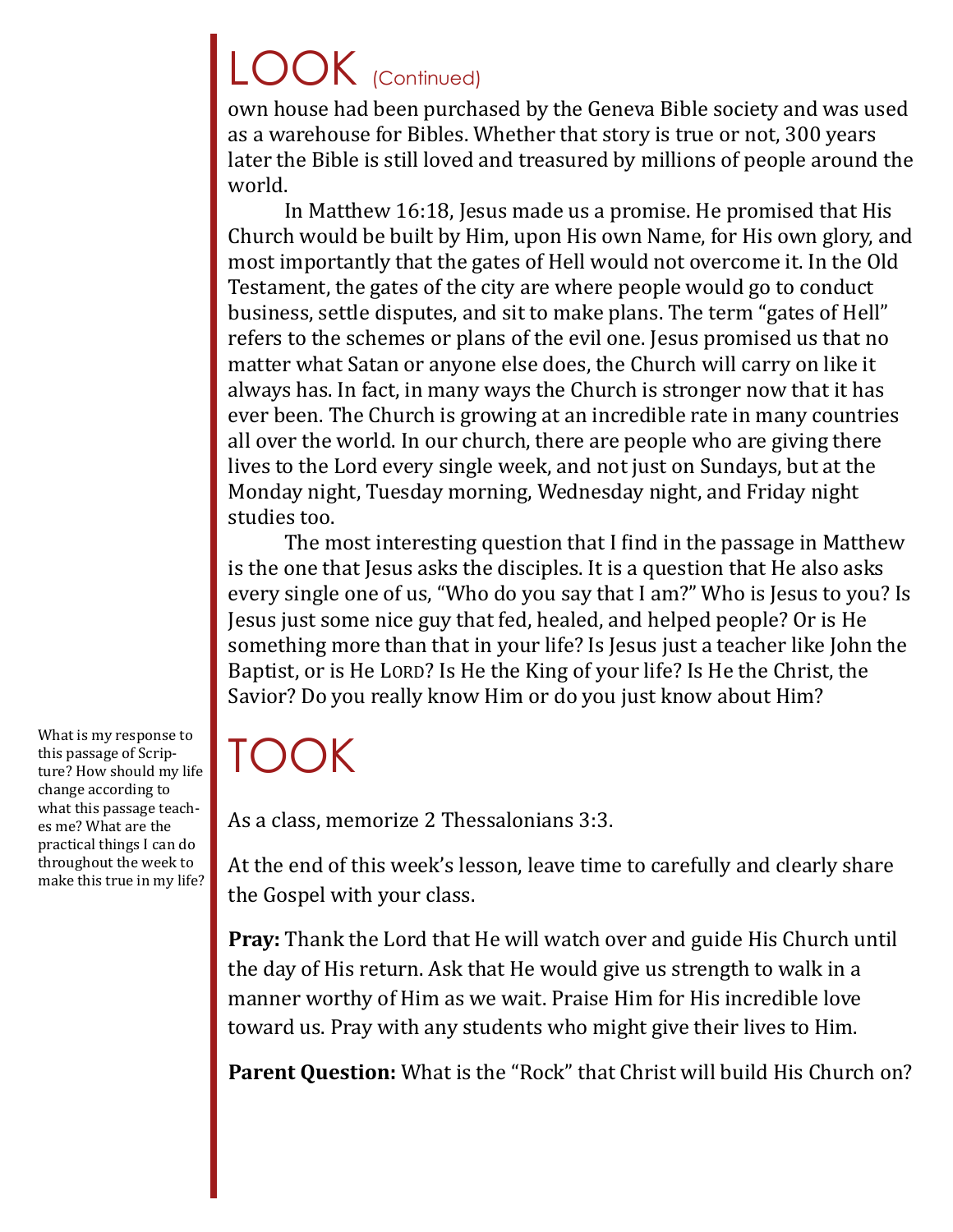# LOOK (Continued)

own house had been purchased by the Geneva Bible society and was used as a warehouse for Bibles. Whether that story is true or not, 300 years later the Bible is still loved and treasured by millions of people around the world.

In Matthew 16:18, Jesus made us a promise. He promised that His Church would be built by Him, upon His own Name, for His own glory, and most importantly that the gates of Hell would not overcome it. In the Old Testament, the gates of the city are where people would go to conduct business, settle disputes, and sit to make plans. The term "gates of Hell" refers to the schemes or plans of the evil one. Jesus promised us that no matter what Satan or anyone else does, the Church will carry on like it always has. In fact, in many ways the Church is stronger now that it has ever been. The Church is growing at an incredible rate in many countries all over the world. In our church, there are people who are giving there lives to the Lord every single week, and not just on Sundays, but at the Monday night, Tuesday morning, Wednesday night, and Friday night studies too.

The most interesting question that I find in the passage in Matthew is the one that Jesus asks the disciples. It is a question that He also asks every single one of us, "Who do you say that I am?" Who is Jesus to you? Is Jesus just some nice guy that fed, healed, and helped people? Or is He something more than that in your life? Is Jesus just a teacher like John the Baptist, or is He LORD? Is He the King of your life? Is He the Christ, the Savior? Do you really know Him or do you just know about Him?

### TOOK

As a class, memorize 2 Thessalonians 3:3.

At the end of this week's lesson, leave time to carefully and clearly share the Gospel with your class.

**Pray:** Thank the Lord that He will watch over and guide His Church until the day of His return. Ask that He would give us strength to walk in a manner worthy of Him as we wait. Praise Him for His incredible love toward us. Pray with any students who might give their lives to Him.

**Parent Question:** What is the "Rock" that Christ will build His Church on?

What is my response to this passage of Scripture? How should my life change according to what this passage teaches me? What are the practical things I can do throughout the week to make this true in my life?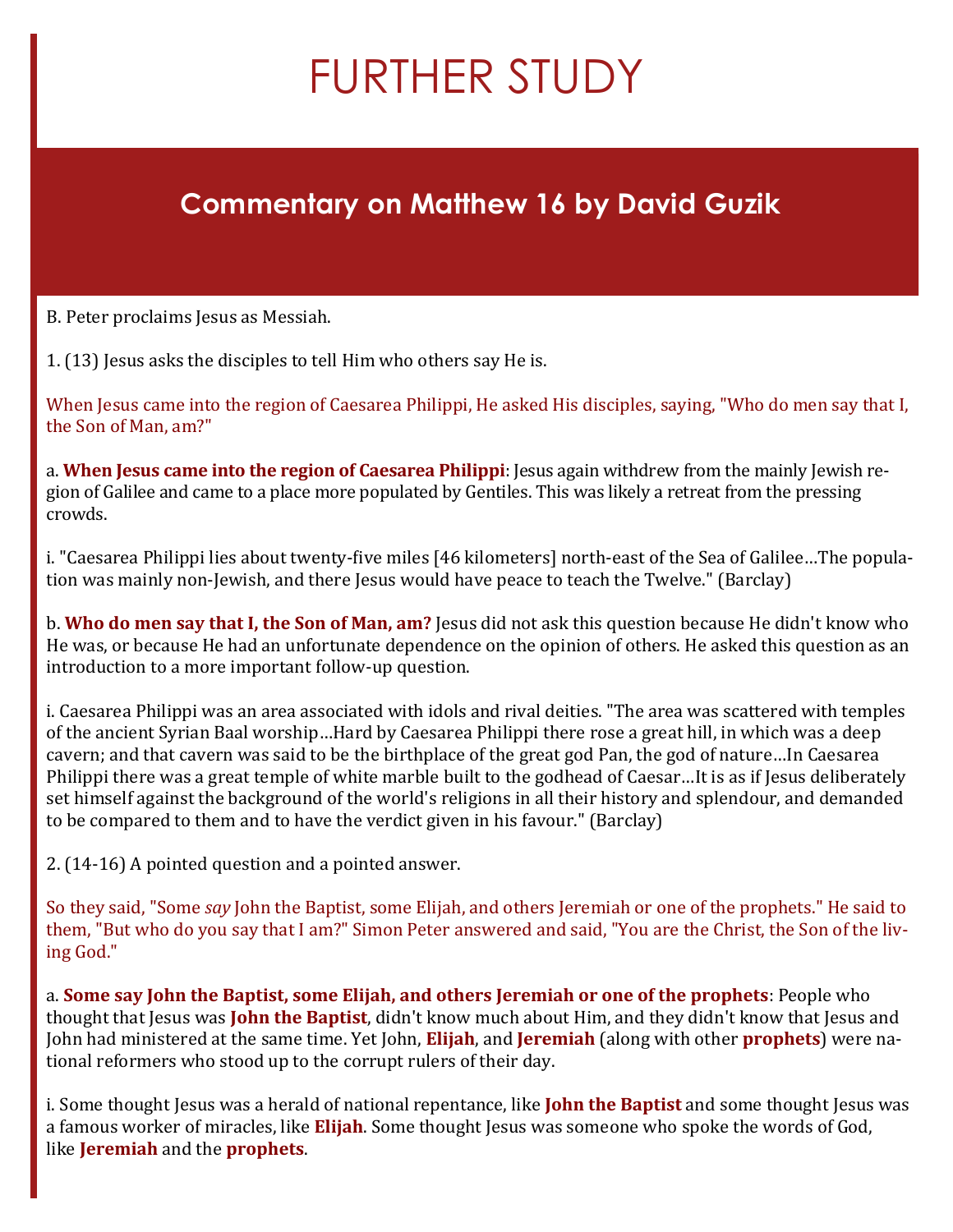## FURTHER STUDY

#### **Commentary on Matthew 16 by David Guzik**

B. Peter proclaims Jesus as Messiah.

1. (13) Jesus asks the disciples to tell Him who others say He is.

When Jesus came into the region of Caesarea Philippi, He asked His disciples, saying, "Who do men say that I, the Son of Man, am?"

a. **When Jesus came into the region of Caesarea Philippi**: Jesus again withdrew from the mainly Jewish region of Galilee and came to a place more populated by Gentiles. This was likely a retreat from the pressing crowds.

i. "Caesarea Philippi lies about twenty-five miles [46 kilometers] north-east of the Sea of Galilee…The population was mainly non-Jewish, and there Jesus would have peace to teach the Twelve." (Barclay)

b. **Who do men say that I, the Son of Man, am?** Jesus did not ask this question because He didn't know who He was, or because He had an unfortunate dependence on the opinion of others. He asked this question as an introduction to a more important follow-up question.

i. Caesarea Philippi was an area associated with idols and rival deities. "The area was scattered with temples of the ancient Syrian Baal worship…Hard by Caesarea Philippi there rose a great hill, in which was a deep cavern; and that cavern was said to be the birthplace of the great god Pan, the god of nature…In Caesarea Philippi there was a great temple of white marble built to the godhead of Caesar…It is as if Jesus deliberately set himself against the background of the world's religions in all their history and splendour, and demanded to be compared to them and to have the verdict given in his favour." (Barclay)

2. (14-16) A pointed question and a pointed answer.

So they said, "Some *say* John the Baptist, some Elijah, and others Jeremiah or one of the prophets." He said to them, "But who do you say that I am?" Simon Peter answered and said, "You are the Christ, the Son of the living God."

a. **Some say John the Baptist, some Elijah, and others Jeremiah or one of the prophets**: People who thought that Jesus was **John the Baptist**, didn't know much about Him, and they didn't know that Jesus and John had ministered at the same time. Yet John, **Elijah**, and **Jeremiah** (along with other **prophets**) were national reformers who stood up to the corrupt rulers of their day.

i. Some thought Jesus was a herald of national repentance, like **John the Baptist** and some thought Jesus was a famous worker of miracles, like **Elijah**. Some thought Jesus was someone who spoke the words of God, like **Jeremiah** and the **prophets**.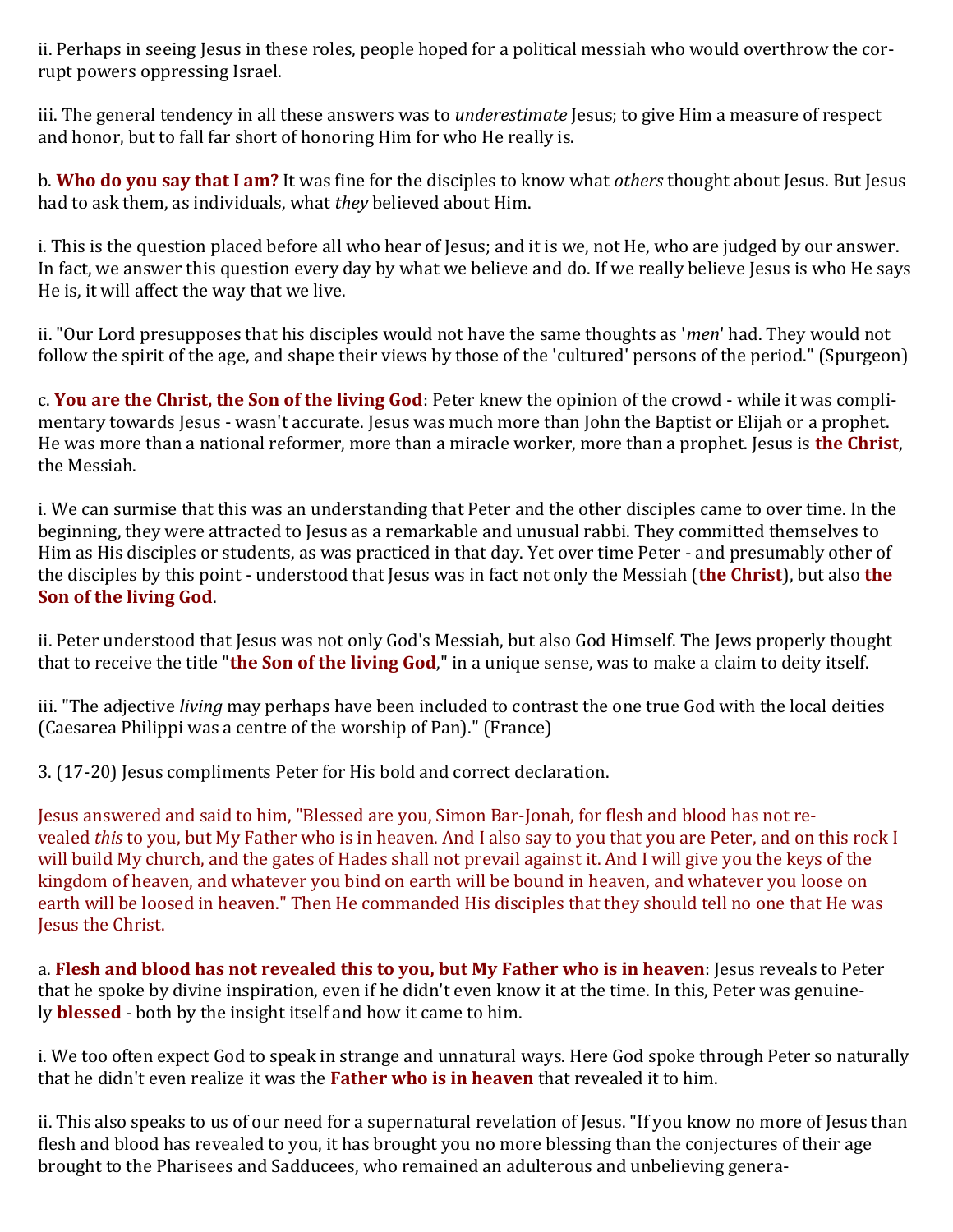ii. Perhaps in seeing Jesus in these roles, people hoped for a political messiah who would overthrow the corrupt powers oppressing Israel.

iii. The general tendency in all these answers was to *underestimate* Jesus; to give Him a measure of respect and honor, but to fall far short of honoring Him for who He really is.

b. **Who do you say that I am?** It was fine for the disciples to know what *others* thought about Jesus. But Jesus had to ask them, as individuals, what *they* believed about Him.

i. This is the question placed before all who hear of Jesus; and it is we, not He, who are judged by our answer. In fact, we answer this question every day by what we believe and do. If we really believe Jesus is who He says He is, it will affect the way that we live.

ii. "Our Lord presupposes that his disciples would not have the same thoughts as '*men*' had. They would not follow the spirit of the age, and shape their views by those of the 'cultured' persons of the period." (Spurgeon)

c. **You are the Christ, the Son of the living God**: Peter knew the opinion of the crowd - while it was complimentary towards Jesus - wasn't accurate. Jesus was much more than John the Baptist or Elijah or a prophet. He was more than a national reformer, more than a miracle worker, more than a prophet. Jesus is **the Christ**, the Messiah.

i. We can surmise that this was an understanding that Peter and the other disciples came to over time. In the beginning, they were attracted to Jesus as a remarkable and unusual rabbi. They committed themselves to Him as His disciples or students, as was practiced in that day. Yet over time Peter - and presumably other of the disciples by this point - understood that Jesus was in fact not only the Messiah (**the Christ**), but also **the Son of the living God**.

ii. Peter understood that Jesus was not only God's Messiah, but also God Himself. The Jews properly thought that to receive the title "**the Son of the living God**," in a unique sense, was to make a claim to deity itself.

iii. "The adjective *living* may perhaps have been included to contrast the one true God with the local deities (Caesarea Philippi was a centre of the worship of Pan)." (France)

3. (17-20) Jesus compliments Peter for His bold and correct declaration.

Jesus answered and said to him, "Blessed are you, Simon Bar-Jonah, for flesh and blood has not revealed *this* to you, but My Father who is in heaven. And I also say to you that you are Peter, and on this rock I will build My church, and the gates of Hades shall not prevail against it. And I will give you the keys of the kingdom of heaven, and whatever you bind on earth will be bound in heaven, and whatever you loose on earth will be loosed in heaven." Then He commanded His disciples that they should tell no one that He was Jesus the Christ.

a. **Flesh and blood has not revealed this to you, but My Father who is in heaven**: Jesus reveals to Peter that he spoke by divine inspiration, even if he didn't even know it at the time. In this, Peter was genuinely **blessed** - both by the insight itself and how it came to him.

i. We too often expect God to speak in strange and unnatural ways. Here God spoke through Peter so naturally that he didn't even realize it was the **Father who is in heaven** that revealed it to him.

ii. This also speaks to us of our need for a supernatural revelation of Jesus. "If you know no more of Jesus than flesh and blood has revealed to you, it has brought you no more blessing than the conjectures of their age brought to the Pharisees and Sadducees, who remained an adulterous and unbelieving genera-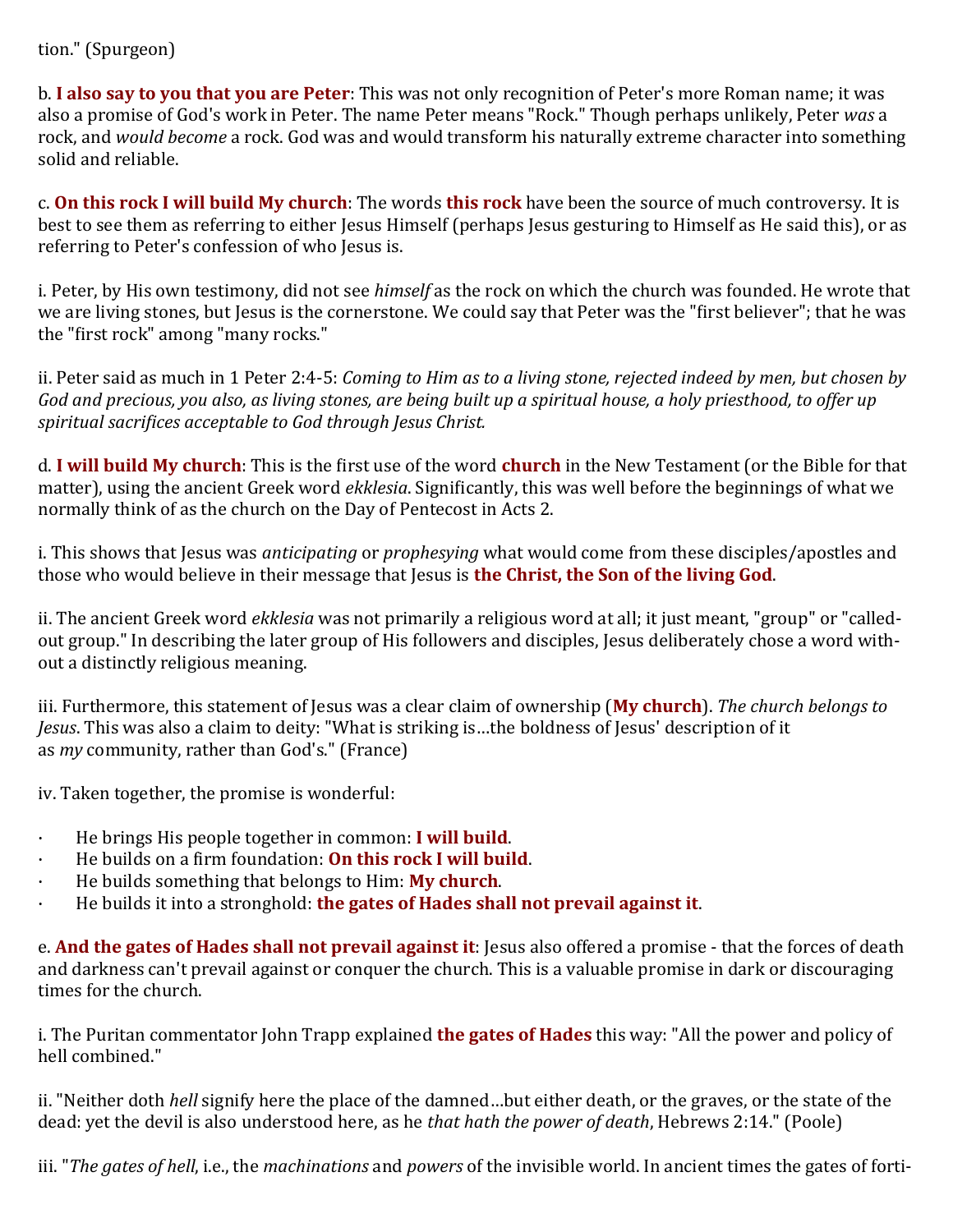#### tion." (Spurgeon)

b. **I also say to you that you are Peter**: This was not only recognition of Peter's more Roman name; it was also a promise of God's work in Peter. The name Peter means "Rock." Though perhaps unlikely, Peter *was* a rock, and *would become* a rock. God was and would transform his naturally extreme character into something solid and reliable.

c. **On this rock I will build My church**: The words **this rock** have been the source of much controversy. It is best to see them as referring to either Jesus Himself (perhaps Jesus gesturing to Himself as He said this), or as referring to Peter's confession of who Jesus is.

i. Peter, by His own testimony, did not see *himself* as the rock on which the church was founded. He wrote that we are living stones, but Jesus is the cornerstone. We could say that Peter was the "first believer"; that he was the "first rock" among "many rocks."

ii. Peter said as much in 1 Peter 2:4-5: *Coming to Him as to a living stone, rejected indeed by men, but chosen by God and precious, you also, as living stones, are being built up a spiritual house, a holy priesthood, to offer up spiritual sacrifices acceptable to God through Jesus Christ.*

d. **I will build My church**: This is the first use of the word **church** in the New Testament (or the Bible for that matter), using the ancient Greek word *ekklesia*. Significantly, this was well before the beginnings of what we normally think of as the church on the Day of Pentecost in Acts 2.

i. This shows that Jesus was *anticipating* or *prophesying* what would come from these disciples/apostles and those who would believe in their message that Jesus is **the Christ, the Son of the living God**.

ii. The ancient Greek word *ekklesia* was not primarily a religious word at all; it just meant, "group" or "calledout group." In describing the later group of His followers and disciples, Jesus deliberately chose a word without a distinctly religious meaning.

iii. Furthermore, this statement of Jesus was a clear claim of ownership (**My church**). *The church belongs to Jesus*. This was also a claim to deity: "What is striking is…the boldness of Jesus' description of it as *my* community, rather than God's." (France)

iv. Taken together, the promise is wonderful:

- · He brings His people together in common: **I will build**.
- · He builds on a firm foundation: **On this rock I will build**.
- · He builds something that belongs to Him: **My church**.
- · He builds it into a stronghold: **the gates of Hades shall not prevail against it**.

e. **And the gates of Hades shall not prevail against it**: Jesus also offered a promise - that the forces of death and darkness can't prevail against or conquer the church. This is a valuable promise in dark or discouraging times for the church.

i. The Puritan commentator John Trapp explained **the gates of Hades** this way: "All the power and policy of hell combined."

ii. "Neither doth *hell* signify here the place of the damned…but either death, or the graves, or the state of the dead: yet the devil is also understood here, as he *that hath the power of death*, Hebrews 2:14." (Poole)

iii. "*The gates of hell*, i.e., the *machinations* and *powers* of the invisible world. In ancient times the gates of forti-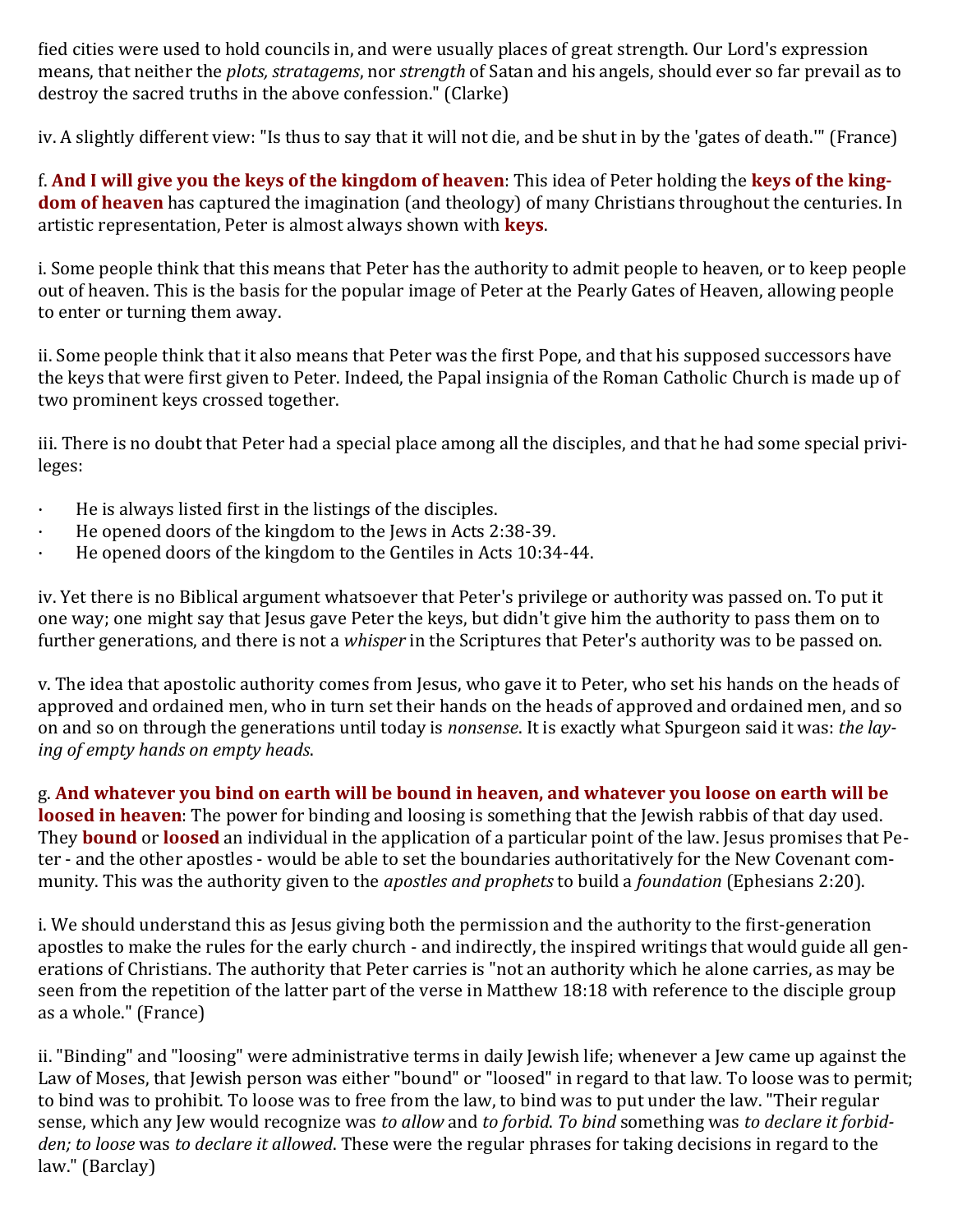fied cities were used to hold councils in, and were usually places of great strength. Our Lord's expression means, that neither the *plots, stratagems*, nor *strength* of Satan and his angels, should ever so far prevail as to destroy the sacred truths in the above confession." (Clarke)

iv. A slightly different view: "Is thus to say that it will not die, and be shut in by the 'gates of death.'" (France)

f. **And I will give you the keys of the kingdom of heaven**: This idea of Peter holding the **keys of the kingdom of heaven** has captured the imagination (and theology) of many Christians throughout the centuries. In artistic representation, Peter is almost always shown with **keys**.

i. Some people think that this means that Peter has the authority to admit people to heaven, or to keep people out of heaven. This is the basis for the popular image of Peter at the Pearly Gates of Heaven, allowing people to enter or turning them away.

ii. Some people think that it also means that Peter was the first Pope, and that his supposed successors have the keys that were first given to Peter. Indeed, the Papal insignia of the Roman Catholic Church is made up of two prominent keys crossed together.

iii. There is no doubt that Peter had a special place among all the disciples, and that he had some special privileges:

- · He is always listed first in the listings of the disciples.
- He opened doors of the kingdom to the Jews in Acts 2:38-39.
- · He opened doors of the kingdom to the Gentiles in Acts 10:34-44.

iv. Yet there is no Biblical argument whatsoever that Peter's privilege or authority was passed on. To put it one way; one might say that Jesus gave Peter the keys, but didn't give him the authority to pass them on to further generations, and there is not a *whisper* in the Scriptures that Peter's authority was to be passed on.

v. The idea that apostolic authority comes from Jesus, who gave it to Peter, who set his hands on the heads of approved and ordained men, who in turn set their hands on the heads of approved and ordained men, and so on and so on through the generations until today is *nonsense*. It is exactly what Spurgeon said it was: *the laying of empty hands on empty heads*.

g. **And whatever you bind on earth will be bound in heaven, and whatever you loose on earth will be loosed in heaven**: The power for binding and loosing is something that the Jewish rabbis of that day used. They **bound** or **loosed** an individual in the application of a particular point of the law. Jesus promises that Peter - and the other apostles - would be able to set the boundaries authoritatively for the New Covenant community. This was the authority given to the *apostles and prophets* to build a *foundation* (Ephesians 2:20).

i. We should understand this as Jesus giving both the permission and the authority to the first-generation apostles to make the rules for the early church - and indirectly, the inspired writings that would guide all generations of Christians. The authority that Peter carries is "not an authority which he alone carries, as may be seen from the repetition of the latter part of the verse in Matthew 18:18 with reference to the disciple group as a whole." (France)

ii. "Binding" and "loosing" were administrative terms in daily Jewish life; whenever a Jew came up against the Law of Moses, that Jewish person was either "bound" or "loosed" in regard to that law. To loose was to permit; to bind was to prohibit. To loose was to free from the law, to bind was to put under the law. "Their regular sense, which any Jew would recognize was *to allow* and *to forbid*. *To bind* something was *to declare it forbidden; to loose* was *to declare it allowed*. These were the regular phrases for taking decisions in regard to the law." (Barclay)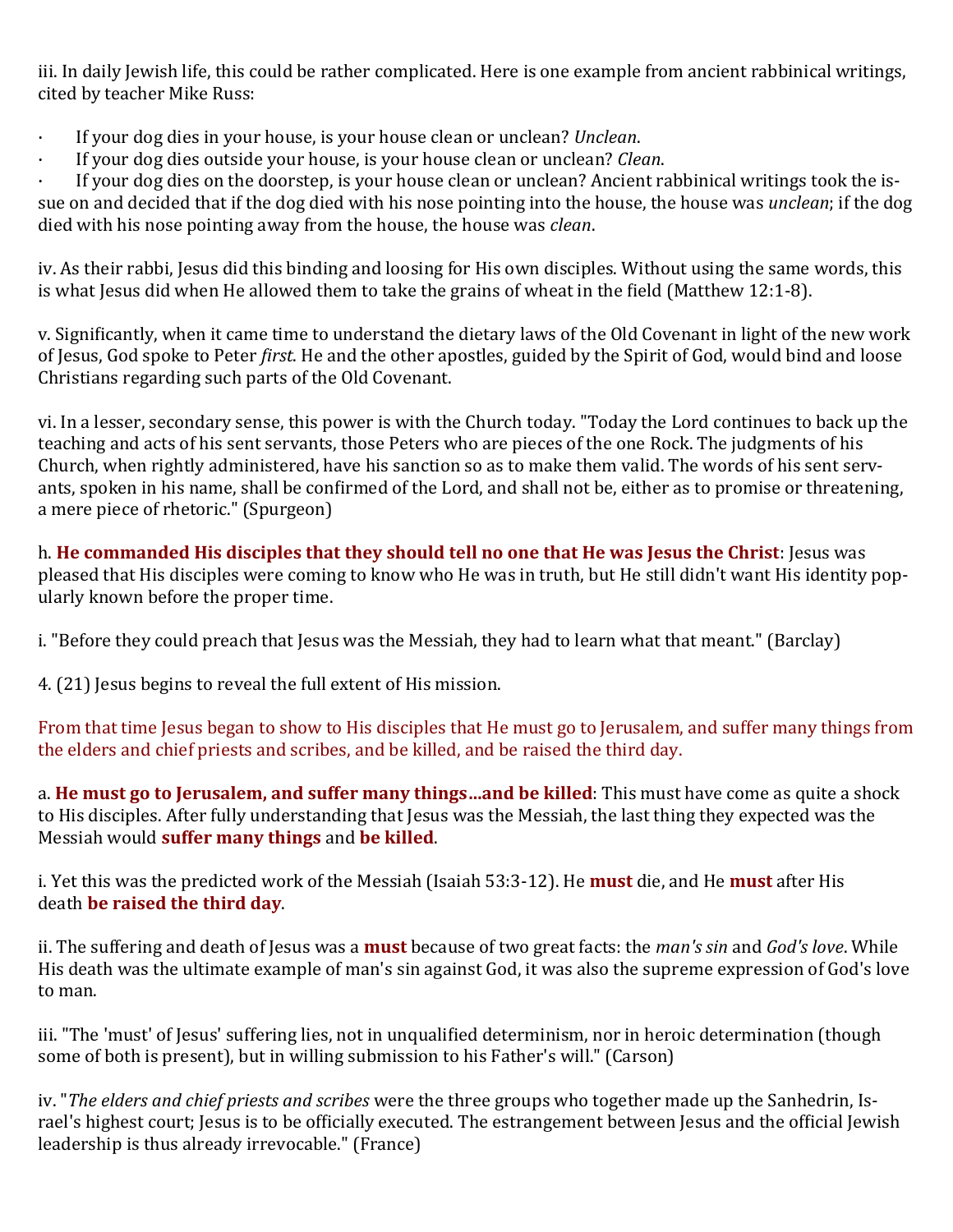iii. In daily Jewish life, this could be rather complicated. Here is one example from ancient rabbinical writings, cited by teacher Mike Russ:

- · If your dog dies in your house, is your house clean or unclean? *Unclean*.
- · If your dog dies outside your house, is your house clean or unclean? *Clean*.

· If your dog dies on the doorstep, is your house clean or unclean? Ancient rabbinical writings took the issue on and decided that if the dog died with his nose pointing into the house, the house was *unclean*; if the dog died with his nose pointing away from the house, the house was *clean*.

iv. As their rabbi, Jesus did this binding and loosing for His own disciples. Without using the same words, this is what Jesus did when He allowed them to take the grains of wheat in the field (Matthew 12:1-8).

v. Significantly, when it came time to understand the dietary laws of the Old Covenant in light of the new work of Jesus, God spoke to Peter *first*. He and the other apostles, guided by the Spirit of God, would bind and loose Christians regarding such parts of the Old Covenant.

vi. In a lesser, secondary sense, this power is with the Church today. "Today the Lord continues to back up the teaching and acts of his sent servants, those Peters who are pieces of the one Rock. The judgments of his Church, when rightly administered, have his sanction so as to make them valid. The words of his sent servants, spoken in his name, shall be confirmed of the Lord, and shall not be, either as to promise or threatening, a mere piece of rhetoric." (Spurgeon)

h. **He commanded His disciples that they should tell no one that He was Jesus the Christ**: Jesus was pleased that His disciples were coming to know who He was in truth, but He still didn't want His identity popularly known before the proper time.

i. "Before they could preach that Jesus was the Messiah, they had to learn what that meant." (Barclay)

4. (21) Jesus begins to reveal the full extent of His mission.

From that time Jesus began to show to His disciples that He must go to Jerusalem, and suffer many things from the elders and chief priests and scribes, and be killed, and be raised the third day.

a. **He must go to Jerusalem, and suffer many things…and be killed**: This must have come as quite a shock to His disciples. After fully understanding that Jesus was the Messiah, the last thing they expected was the Messiah would **suffer many things** and **be killed**.

i. Yet this was the predicted work of the Messiah (Isaiah 53:3-12). He **must** die, and He **must** after His death **be raised the third day**.

ii. The suffering and death of Jesus was a **must** because of two great facts: the *man's sin* and *God's love*. While His death was the ultimate example of man's sin against God, it was also the supreme expression of God's love to man.

iii. "The 'must' of Jesus' suffering lies, not in unqualified determinism, nor in heroic determination (though some of both is present), but in willing submission to his Father's will." (Carson)

iv. "*The elders and chief priests and scribes* were the three groups who together made up the Sanhedrin, Israel's highest court; Jesus is to be officially executed. The estrangement between Jesus and the official Jewish leadership is thus already irrevocable." (France)